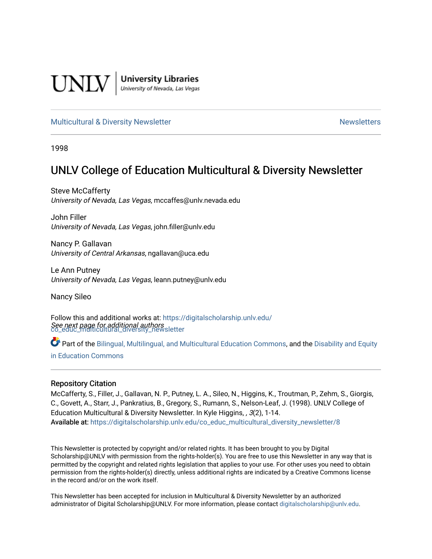

**University Libraries**<br>University of Nevada, Las Vegas

#### [Multicultural & Diversity Newsletter](https://digitalscholarship.unlv.edu/co_educ_multicultural_diversity_newsletter) Newsletter [Newsletters](https://digitalscholarship.unlv.edu/co_educ_newsletters) Newsletters

1998

# UNLV College of Education Multicultural & Diversity Newsletter

Steve McCafferty University of Nevada, Las Vegas, mccaffes@unlv.nevada.edu

John Filler University of Nevada, Las Vegas, john.filler@unlv.edu

Nancy P. Gallavan University of Central Arkansas, ngallavan@uca.edu

Le Ann Putney University of Nevada, Las Vegas, leann.putney@unlv.edu

Nancy Sileo

See next page for additional authors [co\\_educ\\_multicultural\\_diversity\\_newsletter](https://digitalscholarship.unlv.edu/co_educ_multicultural_diversity_newsletter?utm_source=digitalscholarship.unlv.edu%2Fco_educ_multicultural_diversity_newsletter%2F8&utm_medium=PDF&utm_campaign=PDFCoverPages)  Follow this and additional works at: [https://digitalscholarship.unlv.edu/](https://digitalscholarship.unlv.edu/co_educ_multicultural_diversity_newsletter?utm_source=digitalscholarship.unlv.edu%2Fco_educ_multicultural_diversity_newsletter%2F8&utm_medium=PDF&utm_campaign=PDFCoverPages)

Part of the [Bilingual, Multilingual, and Multicultural Education Commons,](http://network.bepress.com/hgg/discipline/785?utm_source=digitalscholarship.unlv.edu%2Fco_educ_multicultural_diversity_newsletter%2F8&utm_medium=PDF&utm_campaign=PDFCoverPages) and the Disability and Equity [in Education Commons](http://network.bepress.com/hgg/discipline/1040?utm_source=digitalscholarship.unlv.edu%2Fco_educ_multicultural_diversity_newsletter%2F8&utm_medium=PDF&utm_campaign=PDFCoverPages)

#### Repository Citation

McCafferty, S., Filler, J., Gallavan, N. P., Putney, L. A., Sileo, N., Higgins, K., Troutman, P., Zehm, S., Giorgis, C., Govett, A., Starr, J., Pankratius, B., Gregory, S., Rumann, S., Nelson-Leaf, J. (1998). UNLV College of Education Multicultural & Diversity Newsletter. In Kyle Higgins, , 3(2), 1-14. Available at: [https://digitalscholarship.unlv.edu/co\\_educ\\_multicultural\\_diversity\\_newsletter/8](https://digitalscholarship.unlv.edu/co_educ_multicultural_diversity_newsletter/8)

This Newsletter is protected by copyright and/or related rights. It has been brought to you by Digital Scholarship@UNLV with permission from the rights-holder(s). You are free to use this Newsletter in any way that is permitted by the copyright and related rights legislation that applies to your use. For other uses you need to obtain permission from the rights-holder(s) directly, unless additional rights are indicated by a Creative Commons license in the record and/or on the work itself.

This Newsletter has been accepted for inclusion in Multicultural & Diversity Newsletter by an authorized administrator of Digital Scholarship@UNLV. For more information, please contact [digitalscholarship@unlv.edu.](mailto:digitalscholarship@unlv.edu)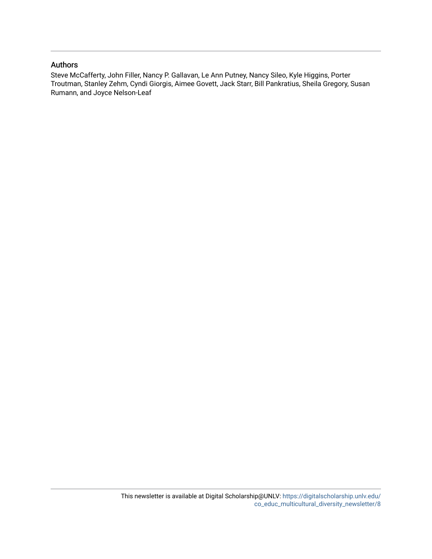#### Authors

Steve McCafferty, John Filler, Nancy P. Gallavan, Le Ann Putney, Nancy Sileo, Kyle Higgins, Porter Troutman, Stanley Zehm, Cyndi Giorgis, Aimee Govett, Jack Starr, Bill Pankratius, Sheila Gregory, Susan Rumann, and Joyce Nelson-Leaf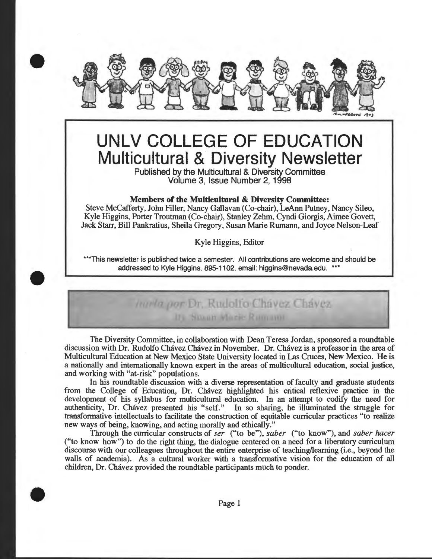

# **UNLV COLLEGE OF EDUCATION Multicultural & Diversity Newsletter**

Published by the Multicultural & Diversity Committee Volume 3, Issue Number 2, 1998

#### Members of the Multicultural & Diversity Committee:

Steve McCafferty, John Filler, Nancy Gallavan (Co-chair), LeAnn Putney, Nancy Sileo, Kyle Higgins, Porter Troutman (Co-chair), Stanley Zehm, Cyndi Giorgis, Aimee Govett, Jack Starr, Bill Pankratius, Sheila Gregory, Susan Marie Rumann, and Joyce Nelson-Leaf

Kyle Higgins, Editor

\*\*\*This newsletter is published twice a semester. All contributions are welcome and should be addressed to Kyle Higgins, 895-1102, email: higgins@nevada.edu. \*\*\*

# Ininia por Dr. Rudolfo Chavez Chavez Its Susan Marie Rumann

The Diversity Committee, in collaboration with Dean Teresa Jordan, sponsored a roundtable discussion with Dr. Rudolfo Chávez Chávez in November. Dr. Chávez is a professor in the area of Multicultural Education at New Mexico State University located in Las Cruces, New Mexico. He is a nationally and internationally known expert in the areas of multicultural education, social justice, and working with "at-risk" populations.

In his roundtable discussion with a diverse representation of faculty and graduate students from the College of Education, Dr. Chavez highlighted his critical reflexive practice in the development of his syllabus for multicultural education. In an attempt to codify the need for authenticity, Dr. Chavez presented his "self." In so sharing, he illuminated the struggle for In so sharing, he illuminated the struggle for transformative intellectuals to facilitate the construction of equitable curricular practices "to realize new ways of being, knowing, and acting morally and ethically."

Through the curricular constructs of *ser* ("to be"), *saber* ("to know"), and *saber hacer*  ("to know how") to do the right thing, the dialogue centered on a need for a liberatory curriculum discourse with our colleagues throughout the entire enterprise of teaching/learning (i.e., beyond the walls of academia). As a cultural worker with a transforrnative vision for the education of all children, Dr. Chavez provided the roundtable participants much to ponder.



•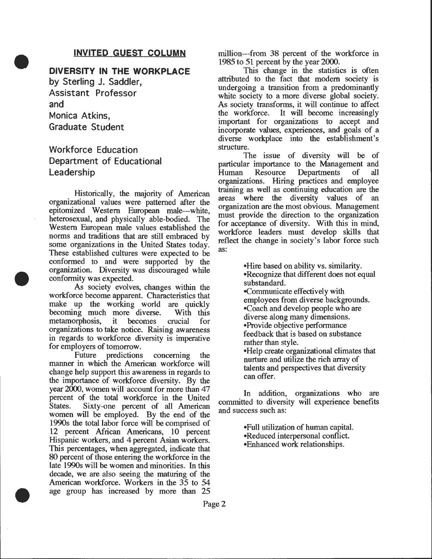## **INVITED GUEST COLUMN**

**DIVERSITY IN THE WORKPLACE** 

by Sterling J. Saddler, Assistant Professor and Monica Atkins, Graduate Student

•

•

•

# Workforce Education Department of Educational Leadership

Historically, the majority of American datumny as well as continuing education are the diversity values of an organizational values were patterned after the constrainting an the most christen Management organizational values were patterned after the<br>epitomized Western European male—white,<br>heterosexual, and physically able-bodied. The<br>Western European male values established the<br>western European male values established the Western European male values established the workforce leaders must develop skills that norms and traditions that are still embraced by some organizations in the United States today.  $\frac{1}{100}$ <br>These established subvace were appeared to be as: These established cultures were expected to be conformed to and were supported by the organization. Diversity was discouraged while conformity was expected.<br>As society evolves, changes within the

workforce become apparent. Characteristics that make up the working world are quickly<br>becoming much more diverse. With this becoming much more diverse. With<br>metamorphosis, it becomes crucial metamorphosis, it becomes crucial for organizations to take notice. Raising awareness in regards to workforce diversity is imperative for employers of tomorrow.

Future predictions concerning the manner in which the American workforce will change help support this awareness in regards to the importance of workforce diversity. By the year 2000, women will account for more than 47 percent of the total workforce in the United<br>States. Sixty-one percent of all American Sixty-one percent of all American women will be employed. By the end of the 1990s the total labor force will be comprised of 12 percent African Americans, 10 percent Hispanic workers, and 4 percent Asian workers. This percentages, when aggregated, indicate that 80 percent of those entering the workforce in the late 1990s will be women and minorities. In this decade, we are also seeing the maturing of the American workforce. Workers in the 35 to 54 age group has increased by more than 25

million---from 38 percent of the workforce in 1985 to 51 percent by the year 2000.

This change in the statistics is often attributed to the fact that modern society is undergoing a transition from a predominantly white society to a more diverse global society. As society transforms, it will continue to affect<br>the workforce. It will become increasingly It will become increasingly important for organizations to accept and incorporate values, experiences, and goals of a diverse workplace into the establishment's structure.

The issue of diversity will be of particular importance to the Management and Human Resource Departments of all organizations. Hiring practices and employee training as well as continuing education are the reflect the change in society's labor force such

> •Hire based on ability vs. similarity. •Recognize that different does not equal substandard. .Communicate effectively with employees from diverse backgrounds. •Coach and develop people who are diverse along many dimensions. •Provide objective performance feedback that is based on substance rather than style. •Help create organizational climates that nurture and utilize the rich array of talents and perspectives that diversity can offer.

In addition, organizations who are committed to diversity will experience benefits and success such as:

> •Full utilization of human capital. •Reduced interpersonal conflict. •Enhanced work relationships.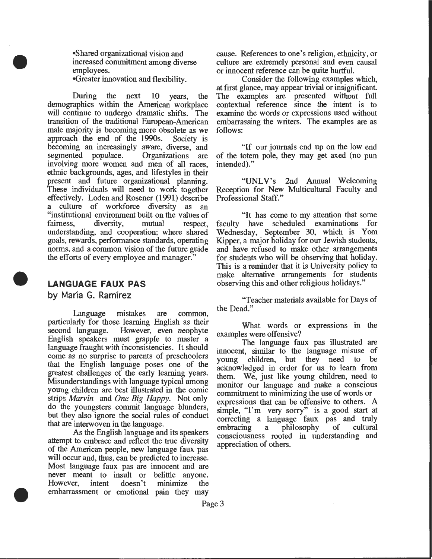•Shared organizational vision and increased commitment among diverse employees.

•Greater innovation and flexibility.

•

•

•

During the next 10 years, the demographics within the American workplace will continue to undergo dramatic shifts. The transition of the traditional European-American male majority is becoming more obsolete as we<br>approach the end of the 1990s. Society is approach the end of the 1990s. becoming an increasingly aware, diverse, and<br>segmented populace. Organizations are segmented populace. Organizations are involving more women and men of all races, ethnic backgrounds, ages, and lifestyles in their present and future organizational planning. These individuals will need to work together effectively. Loden and Rosener (1991) describe a culture of workforce diversity as an "institutional environment built on the values of fairness, diversity, mutual respect, understanding, and cooperation; where shared goals, rewards, performance standards, operating norms, and a common vision of the future guide the efforts of every employee and manager."

# **LANGUAGE FAUX PAS**

**by Marla G. Ramirez** 

Language mistakes are common, particularly for those learning English as their<br>second language. However, even neophyte However, even neophyte English speakers must grapple to master a language fraught with inconsistencies. It should come as no surprise to parents of preschoolers that the English language poses one of the greatest challenges of the early learning years. Misunderstandings with language typical among young children are best illustrated in the comic strips *Marvin* and *One Big Happy.* Not only do the youngsters commit language blunders, but they also ignore the social rules of conduct that are interwoven in the language.

As the English language and its speakers attempt to embrace and reflect the true diversity of the American people, new language faux pas will occur and, thus, can be predicted to increase. Most language faux pas are innocent and are never meant to insult or belittle anyone. However, intent doesn't minimize the embarrassment or emotional pain they may

cause. References to one's religion, ethnicity, or culture are extremely personal and even causal or innocent reference can be quite hurtful.

Consider the following examples which, at first glance, may appear trivial or insignificant. The examples are presented without full contextual reference since the intent is to examine the words or expressions used without embarrassing the writers. The examples are as follows:

"If our journals end up on the low end of the totem pole, they may get axed (no pun intended)."

"UNLV's 2nd Annual Welcoming Reception for New Multicultural Faculty and Professional Staff."

"It has come to my attention that some faculty have scheduled examinations for Wednesday, September 30, which is Yom Kipper, a major holiday for our Jewish students, and have refused to make other arrangements for students who will be observing that holiday. This is a reminder that it is University policy to make alternative arrangements for students observing this and other religious holidays."

''Teacher materials available for Days of the Dead."

What words or expressions in the examples were offensive?

The language faux pas illustrated are innocent, similar to the language misuse of young children, but they need acknowledged in order for us to learn from them. We, just like young children, need to monitor our language and make a conscious commitment to minimizing the use of words or expressions that can be offensive to others. A simple, "I'm very sorry" is a good start at correcting a language faux pas and truly embracing a philosophy consciousness rooted in understanding and appreciation of others.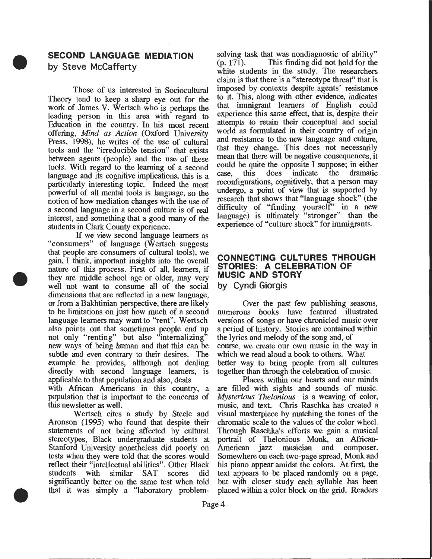# **SECOND LANGUAGE MEDIATION by Steve McCafferty**

•

•

•

Those of us interested in Sociocultural Theory tend to keep a sharp eye out for the work of James V. Wertsch who is perhaps the leading person in this area with regard to Education in the country. In his most recent offering, *Mind as Action* (Oxford University Press, 1998), he writes of the use of cultural tools and the "irreducible tension" that exists between agents (people) and the use of these tools. With regard to the learning of a second language and its cognitive implications, this is a particularly interesting topic. Indeed the most powerful of all mental tools is language, so the notion of how mediation changes with the use of a second language in a second culture is of real interest, and something that a good many of the students in Clark County experience.

If we view second language learners as "consumers" of language (Wertsch suggests that people are consumers of cultural tools), we gain, I think, important insights into the overall nature of this process. First of all, learners, if they are middle school age or older, may very well not want to consume all of the social dimensions that are reflected in a new language, or from a Bakhtinian perspective, there are likely Over the past few publishing seasons, to be limitations on just how much of a second numerous books have featured illustrated to be limitations on just how much of a second numerous books have featured illustrated thanguage learners may want to "rent". Wertsch versions of songs or have chronicled music over language learners may want to "rent". Wertsch also points out that sometimes people end up a period of history. Stories are contained within not only "renting" but also "internalizing" the lyrics and melody of the song and, of not only "renting" but also "internalizing" the lyrics and melody of the song and, of new ways of being human and that this can be course, we create our own music in the way in new ways of being human and that this can be course, we create our own music in the way subtle and even contrary to their desires. The which we read aloud a book to others. What subtle and even contrary to their desires. The example he provides, although not dealing better way to bring people from all cultures directly with second language learners, is together than through the celebration of music.

population that is important to the concerns of this newsletter as well. music, and text. Chris Raschka has created a

Aronson (1995) who found that despite their chromatic scale to the values of the color wheel. statements of not being affected by cultural Through Raschka's efforts we gain a musical stereotypes, Black undergraduate students at portrait of Thelonious Monk, an African-Stanford University nonetheless did poorly on tests when they were told that the scores would Somewhere on each two-page spread, Monk and reflect their "intellectual abilities". Other Black his piano appear amidst the colors. At first, the students with similar SAT scores did text appears to be placed randomly on a page, significantly better on the same test when told but with closer study each syllable has been significantly better on the same test when told but with closer study each syllable has been that it was simply a "laboratory problem- placed within a color block on the grid. Readers that it was simply a "laboratory problem-

solving task that was nondiagnostic of ability"<br>(p. 171). This finding did not hold for the This finding did not hold for the white students in the study. The researchers claim is that there is a "stereotype threat" that is imposed by contexts despite agents' resistance to it. This, along with other evidence, indicates that immigrant learners of English could experience this same effect, that is, despite their attempts to retain their conceptual and social world as formulated in their country of origin and resistance to the new language and culture, that they change. This does not necessarily mean that there will be negative consequences, it could be quite the opposite I suppose; in either case, this does indicate the dramatic reconfigurations, cognitively, that a person may undergo, a point of view that is supported by research that shows that "language shock" (the difficulty of "finding yourself' in a new language) is ultimately "stronger" than the experience of "culture shock" for immigrants.

## **CONNECTING CULTURES THROUGH STORIES: A CELEBRATION OF MUSIC AND STORY by Cyndi Giorgis**

applicable to that population and also, deals<br>with African Americans in this country, a are filled with sights and sounds of music. with African Americans in this country, a are filled with sights and sounds of music.<br>population that is important to the concerns of *Mysterious Thelonious* is a weaving of color, Wertsch cites a study by Steele and visual masterpiece by matching the tones of the portrait of Thelonious Monk, an African-<br>American jazz musician and composer.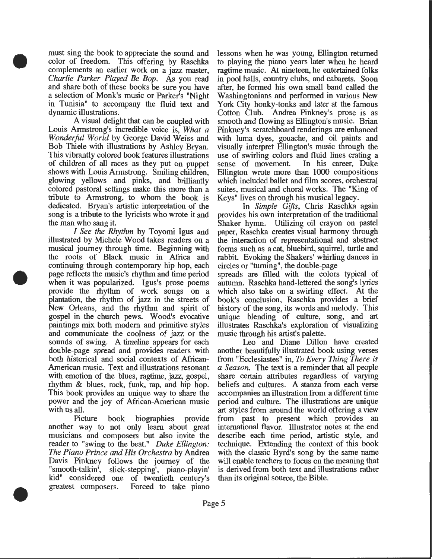must sing the book to appreciate the sound and color of freedom. This offering by Raschka complements an earlier work on a jazz master, *Charlie Parker Played Be Bop.* As you read and share both of these books be sure you have a selection of Monk's music or Parker's "Night in Tunisia" to accompany the fluid text and dynamic illustrations.

•

•

•

A visual delight that can be coupled with Louis Armstrong's incredible voice is, *What a Wonderful World* by George David Weiss and Bob Thiele with illustrations by Ashley Bryan. This vibrantly colored book features illustrations of children of all races as they put on puppet shows with Louis Armstrong. Smiling children, glowing yellows and pinks, and brilliantly colored pastoral settings make this more than a tribute to Armstrong, to whom the book is dedicated. Bryan's artistic interpretation of the song is a tribute to the lyricists who wrote it and the man who sang it.

*I See the Rhythm* by Toyomi Igus and illustrated by Michele Wood takes readers on a musical journey through time. Beginning with the roots of Black music in Mrica and continuing through contemporary hip hop, each page reflects the music's rhythm and time period when it was popularized. Igus's prose poems provide the rhythm of work songs on a plantation, the rhythm of jazz in the streets of New Orleans, and the rhythm and spirit of gospel in the church pews. Wood's evocative paintings mix both modem and primitive styles and communicate the coolness of jazz or the sounds of swing. A timeline appears for each double-page spread and provides readers with both historical and social contexts of Mrican-American music. Text and illustrations resonant with emotion of the blues, ragtime, jazz, gospel, rhythm & blues, rock, funk, rap, and hip hop. This book provides an unique way to share the power and the joy of Mrican-American music with us all.

Picture book biographies provide another way to not only learn about great musicians and composers but also invite the reader to "swing to the beat." *Duke Ellington: The Piano Prince* and *His Orchestra* by Andrea Davis Pinkney follows the journey of the "smooth-talkin', slick-stepping', piano-playin' kid" considered one of twentieth century's greatest composers. Forced to take piano

lessons when he was young, Ellington returned to playing the piano years later when he heard ragtime music. At nineteen, he entertained folks in pool halls, country clubs, and cabarets. Soon after, he formed his own small band called the Washingtonians and performed in various New York City honky-tonks and later at the famous Cotton Club. Andrea Pinkney's prose is as smooth and flowing as Ellington's music. Brian Pinkney's scratchboard renderings are enhanced with luma dyes, gouache, and oil paints and visually interpret Ellington's music through the use of swirling colors and fluid lines crating a<br>sense of movement. In his career, Duke In his career, Duke Ellington wrote more than 1000 compositions which included ballet and film scores, orchestral suites, musical and choral works. The "King of Keys" lives on through his musical legacy.

In *Simple Gifts,* Chris Raschka again provides his own interpretation of the traditional Shaker hymn. Utilizing oil crayon on pastel paper, Raschka creates visual harmony through the interaction of representational and abstract forms such as a cat, bluebird, squirrel, turtle and rabbit. Evoking the Shakers' whirling dances in circles or "turning", the double-page

spreads are filled with the colors typical of autumn. Raschka hand-lettered the song's lyrics which also take on a swirling effect. At the book's conclusion, Raschka provides a brief history of the song, its words and melody. This unique blending of culture, song, and art illustrates Raschka's exploration of visualizing music through his artist's palette.

Leo and Diane Dillon have created another beautifully illustrated book using verses from "Ecclesiastes" in, *To Every Thing There is a Season.* The text is a reminder that all people share certain attributes regardless of varying beliefs and cultures. A stanza from each verse accompanies an illustration from a different time period and culture. The illustrations are unique art styles from around the world offering a view from past to present which provides an international flavor. Illustrator notes at the end describe each time period, artistic style, and technique. Extending the context of this book with the classic Byrd's song by the same name will enable teachers to focus on the meaning that is derived from both text and illustrations rather than its original source, the Bible.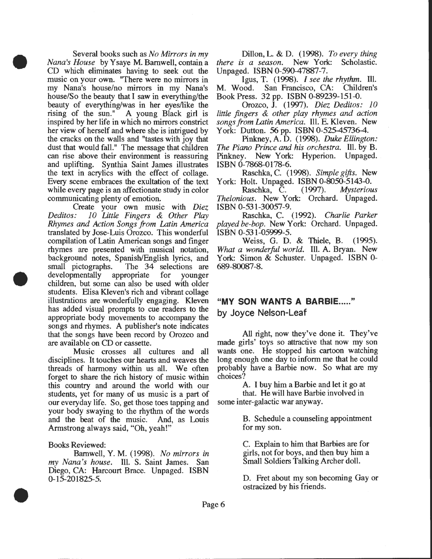Several books such as *No Mirrors in my Nana 's House* by Y saye M. Barnwell, contain a CD which eliminates having to seek out the music on your own. "There were no mirrors in my Nana's house/no mirrors in my Nana's house/So the beauty that I saw in everything/the beauty of everything/was in her eyes/like the rising of the sun." A young Black girl is inspired by her life in which no mirrors constrict her view of herself and where she is intrigued by the cracks on the walls and "tastes with joy that dust that would fall." The message that children can rise above their environment is reassuring and uplifting. Synthia Saint James illustrates the text in acrylics with the effect of collage. Every scene embraces the exultation of the text while every page is an affectionate study in color communicating plenty of emotion.

•

•

•

Create your own music with *Diez Deditos: 10 Little Fingers* & *Other Play Rhymes and Action Songs from Latin America*  translated by Jose-Luis Orozco. This wonderful compilation of Latin American songs and finger rhymes are presented with musical notation, background notes, Spanish/English lyrics, and small pictographs. The 34 selections are developmentally appropriate for younger children, but some can also be used with older students. Elisa Kleven's rich and vibrant collage illustrations are wonderfully engaging. Kleven has added visual prompts to cue readers to the appropriate body movements to accompany the songs and rhymes. A publisher's note indicates that the songs have been record by Orozco and are available on CD or cassette.

Music crosses all cultures and all disciplines. It touches our hearts and weaves the threads of harmony within us all. We often forget to share the rich history of music within this country and around the world with our students, yet for many of us music is a part of our everyday life. So, get those toes tapping and your body swaying to the rhythm of the words and the beat of the music. And, as Louis Armstrong always said, "Oh, yeah!"

Books Reviewed:

Barnwell, Y. M. (1998). *No mirrors in my Nana's house.* Ill. S. Saint James. San Diego, CA: Harcourt Brace. Unpaged. ISBN 0-15-201825-5.

Dillon, L. & D. (1998). *To every thing there is a season.* New York: Scholastic. Unpaged. ISBN 0-590-47887-7.

Igus, T. (1998). *I see the rhythm.* Ill. M. Wood. San Francisco, CA: Children's Book Press. 32 pp. ISBN 0-89239-151-0.

Orozco, J. (1997). *Diez Deditos: 10 little fingers* & *other play rhymes and action songs from Latin America.* Ill. E. Kleven. New York: Dutton. 56 pp. ISBN 0-525-45736-4.

Pinkney, A. D. (1998). *Duke Ellington: The Piano Prince and his orchestra.* Ill. by B. Pinkney. New York: Hyperion. Unpaged. ISBN 0-7868-0178-6.

Raschka, C. (1998). *Simple gifts.* New York: Holt. Unpaged. ISBN 0-8050-5143-0.

Raschka, C. (1997). *Mysterious Thelonious.* New York: Orchard. Unpaged. ISBN 0-531-30057-9.

Raschka, C. (1992). *Charlie Parker played be-bop.* New York: Orchard. Unpaged. ISBN 0-531-05999-5.

Weiss, G. D. & Thiele, B. (1995). *What a wonderful world.* Ill. A. Bryan. New York: Simon & Schuster. Unpaged. ISBN 0-689-80087-8.

# "MY **SON WANTS A BARBIE ..... "**

by Joyce Nelson-Leaf

All right, now they've done it. They've made girls' toys so attractive that now my son wants one. He stopped his cartoon watching long enough one day to inform me that he could probably have a Barbie now. So what are my choices?

A. I buy him a Barbie and let it go at

that. He will have Barbie involved in some inter-galactic war anyway.

> B. Schedule a counseling appointment for my son.

C. Explain to him that Barbies are for girls, not for boys, and then buy him a Small Soldiers Talking Archer doll.

D. Fret about my son becoming Gay or ostracized by his friends .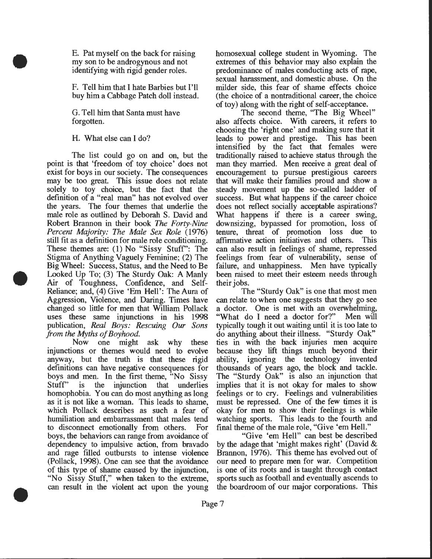E. Pat myself on the back for raising my son to be androgynous and not identifying with rigid gender roles.

F. Tell him that I hate Barbies but I'll buy him a Cabbage Patch doll instead.

G. Tell him that Santa must have forgotten.

H. What else can I do?

•

•

•

The list could go on and on, but the point is that 'freedom of toy choice' does not exist for boys in our society. The consequences may be too great. This issue does not relate solely to toy choice, but the fact that the definition of a "real man" has not evolved over the years. The four themes that underlie the male role as outlined by Deborah S. David and Robert Brannon in their book The *Forty-Nine Percent Majority: The Male Sex Role* (1976) still fit as a definition for male role conditioning. These themes are: (1) No "Sissy Stuff': The Stigma of Anything Vaguely Feminine; (2) The Big Wheel: Success, Status, and the Need to Be Looked Up To; (3) The Sturdy Oak: A Manly Air of Toughness, Confidence, and Self-Reliance; and, (4) Give 'Em Hell': The Aura of Aggression, Violence, and Daring. Times have changed so little for men that William Pollack uses these same injunctions in his 1998 publication, *Real Boys: Rescuing Our Sons from the Myths of Boyhood.* 

Now one might ask why these injunctions or themes would need to evolve anyway, but the truth is that these rigid definitions can have negative consequences for boys and men. In the first theme, "No Sissy Stuff' is the injunction that underlies homophobia. You can do most anything as long as it is not like a woman. This leads to shame, which Pollack describes as such a fear of humiliation and embarrassment that males tend to disconnect emotionally from others. For boys, the behaviors can range from avoidance of dependency to impulsive action, from bravado and rage filled outbursts to intense violence (Pollack, 1998). One can see that the avoidance of this type of shame caused by the injunction, "No Sissy Stuff," when taken to the extreme, can result in the violent act upon the young

homosexual college student in Wyoming. The extremes of this behavior may also explain the predominance of males conducting acts of rape, sexual harassment, and domestic abuse. On the milder side, this fear of shame effects choice (the choice of a nontraditional career, the choice of toy) along with the right of self-acceptance.

The second theme, "The Big Wheel" also affects choice. With careers, it refers to choosing the 'right one' and making sure that it leads to power and prestige. This has been intensified by the fact that females were traditionally raised to achieve status through the man they married. Men receive a great deal of encouragement to pursue prestigious careers that will make their families proud and show a steady movement up the so-called ladder of success. But what happens if the career choice does not reflect socially acceptable aspirations? What happens if there is a career swing, downsizing, bypassed for promotion, loss of tenure, threat of promotion loss due to affirmative action initiatives and others. This can also result in feelings of shame, repressed feelings from fear of vulnerability, sense of failure, and unhappiness. Men have typically been raised to meet their esteem needs through their jobs.

The "Sturdy Oak" is one that most men can relate to when one suggests that they go see a doctor. One is met with an overwhelming, "What do I need a doctor for?'' Men will typically tough it out waiting until it is too late to do anything about their illness. "Sturdy Oak" ties in with the back injuries men acquire because they lift things much beyond their ability, ignoring the technology invented thousands of years ago, the block and tackle. The "Sturdy Oak" is also an injunction that implies that it is not okay for males to show feelings or to cry. Feelings and vulnerabilities must be repressed. One of the few times it is okay for men to show their feelings is while watching sports. This leads to the fourth and final theme of the male role, "Give 'em Hell."

"Give 'em Hell" can best be described by the adage that 'might makes right' (David & Brannon, 1976). This theme has evolved out of our need to prepare men for war. Competition is one of its roots and is taught through contact sports such as football and eventually ascends to the boardroom of our major corporations. This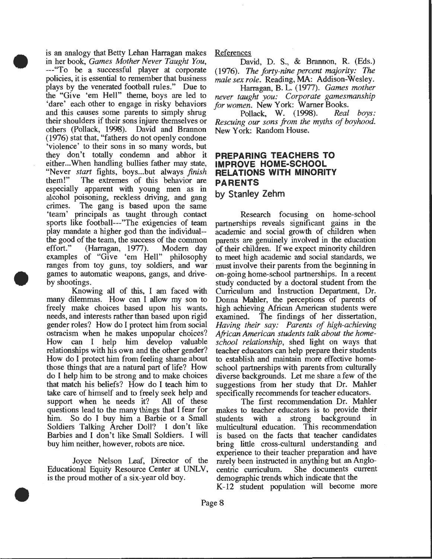is an analogy that Betty Lehan Harragan makes in her book, *Games Mother Never Taught You,*  ---"To be a successful player at corporate policies, it is essential to remember that business plays by the venerated football rules." Due to the "Give 'em Hell" theme, boys are led to 'dare' each other to engage in risky behaviors and this causes some parents to simply shrug their shoulders if their sons injure themselves or others (Pollack, 1998). David and Brannon (1976) stat that, "fathers do not openly condone 'violence' to their sons in so many words, but they don't totally condemn and abhor it either...When handling bullies father may state, "Never *start* fights, boys...but always *finish* them!" The extremes of this behavior are especially apparent with young men as in alcohol poisoning, reckless driving, and gang crimes. The gang is based upon the same 'team' principals as taught through contact sports like football---"The exigencies of team play mandate a higher god than the individual- the good of the team, the success of the common<br>effort." (Harragan, 1977). Modern day (Harragan, 1977). examples of "Give 'em Hell" philosophy ranges from toy guns, toy soldiers, and war games to automatic weapons, gangs, and driveby shootings.

•

•

•

Knowing all of this, I am faced with many dilemmas. How can I allow my son to freely make choices based upon his wants, needs, and interests rather than based upon rigid gender roles? How do I protect him from social ostracism when he makes unpopular choices? How can I help him develop valuable relationships with his own and the other gender? How do I protect him from feeling shame about those things that are a natural part of life? How do I help him to be strong and to make choices that match his beliefs? How do I teach him to take care of himself and to freely seek help and support when he needs it? All of these questions lead to the many things that I fear for him. So do I buy him a Barbie or a Small Soldiers Talking Archer Doll? I don't like Barbies and I don't like Small Soldiers. I will buy him neither, however, robots are nice.

Joyce Nelson Leaf, Director of the Educational Equity Resource Center at UNLV, is the proud mother of a six-year old boy.

References

David, D. S., & Brannon, R. (Eds.) (1976). The *forty-nine percent majority:* The *male sex role.* Reading, MA: Addison-Wesley.

Harragan, B. L. (1977). *Games mother never taught you: Corporate gamesmanship for women.* New York: Warner Books.<br>Pollack. W. (1998). Real boys:

Pollack, W. (1998). *Rescuing our sons from the myths of boyhood.*  New York: Random House.

## **PREPARING TEACHERS TO IMPROVE HOME-SCHOOL RELATIONS WITH MINORITY PARENTS**

## **by Stanley Zehm**

Research focusing on home-school partnerships reveals significant gains in the academic and social growth of children when parents are genuinely involved in the education of their children. If we expect minority children to meet high academic and social standards, we must involve their parents from the beginning in on-going home-school partnerships. In a recent study conducted by a doctoral student from the Curriculum and Instruction Department, Dr. Donna Mahler, the perceptions of parents of high achieving African American students were examined. The findings of her dissertation, *Having their say: Parents of high-achieving African American students talk about the homeschool relationship,* shed light on ways that teacher educators can help prepare their students to establish and maintain more effective homeschool partnerships with parents from culturally diverse backgrounds. Let me share a few of the suggestions from her study that Dr. Mahler specifically recommends for teacher educators.

The first recommendation Dr. Mahler makes to teacher educators is to provide their students with a strong background in multicultural education. This recommendation is based on the facts that teacher candidates bring little cross-cultural understanding and experience to their teacher preparation and have rarely been instructed in anything but an Anglocentric curriculum. She documents current demographic trends which indicate that the K-12 student population will become more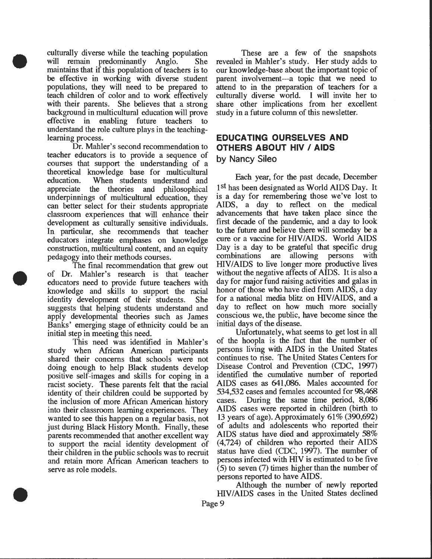culturally diverse while the teaching population will remain predominantly Anglo. She maintains that if this population of teachers is to be effective in working with diverse student populations, they will need to be prepared to teach children of color and to work effectively with their parents. She believes that a strong background in multicultural education will prove effective in enabling future teachers to understand the role culture plays in the teachinglearning process.

•

•

•

Dr. Mahler's second recommendation to teacher educators is to provide a sequence of courses that support the understanding of a theoretical knowledge base for multicultural education. When students understand and appreciate the theories and philosophical underpinnings of multicultural education, they can better select for their students appropriate classroom experiences that will enhance their development as culturally sensitive individuals. In particular, she recommends that teacher educators integrate emphases on knowledge construction, multicultural content, and an equity pedagogy into their methods courses.

The final recommendation that grew out of Dr. Mahler's research is that teacher educators need to provide future teachers with knowledge and skills to support the racial identity development of their students. She suggests that helping students understand and apply developmental theories such as James Banks' emerging stage of ethnicity could be an initial step in meeting this need.

This need was identified in Mahler's study when Mrican American participants shared their concerns that schools were not doing enough to help Black students develop positive self-images and skills for coping in a racist society. These parents felt that the racial identity of their children could be supported by the inclusion of more Mrican American history into their classroom learning experiences. They wanted to see this happen on a regular basis, not just during Black History Month. Finally, these parents recommended that another excellent way to support the racial identity development of their children in the public schools was to recruit and retain more Mrican American teachers to serve as role models.

These are a few of the snapshots revealed in Mahler's study. Her study adds to our knowledge-base about the important topic of parent involvement-a topic that we need to attend to in the preparation of teachers for a culturally diverse world. I will invite her to share other implications from her excellent study in a future column of this newsletter.

# **EDUCATING OURSELVES AND OTHERS ABOUT HIV I AIDS**

## **by Nancy Sileo**

Each year, for the past decade, December 1<sup>st</sup> has been designated as World AIDS Day. It is a day for remembering those we've lost to AIDS, a day to reflect on the medical advancements that have taken place since the first decade of the pandemic, and a day to look to the future and believe there will someday be a cure or a vaccine for HIV/AIDS. World AIDS Day is a day to be grateful that specific drug combinations are allowing persons with HIV/AIDS to live longer more productive lives without the negative affects of AIDS. It is also a day for major fund raising activities and galas in honor of those who have died from AIDS, a day for a national media blitz on HIV/AIDS, and a day to reflect on how much more socially conscious we, the public, have become since the initial days of the disease.

Unfortunately, what seems to get lost in all of the hoopla is the fact that the number of persons living with AIDS in the United States continues to rise. The United States Centers for Disease Control and Prevention (CDC, 1997) identified the cumulative number of reported AIDS cases as 641,086. Males accounted for 534,532 cases and females accounted for 98,468 cases. During the same time period, 8,086 AIDS cases were reported in children (birth to 13 years of age). Approximately 61% (390,692) of adults and adolescents who reported their AIDS status have died and approximately 58% (4,724) of children who reported their AIDS status have died (CDC, 1997). The number of persons infected with HIV is estimated to be five  $(5)$  to seven  $(7)$  times higher than the number of persons reported to have AIDS.

Although the number of newly reported HIV/AIDS cases in the United States declined

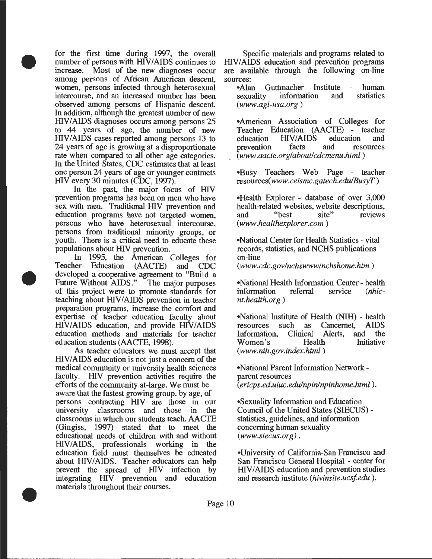for the first time during 1997, the overall number of persons with HIV/AIDS continues to<br>increase. Most of the new diagnoses occur Most of the new diagnoses occur among persons of Mrican American descent, women, persons infected through heterosexual intercourse, and an increased number has been observed among persons of Hispanic descent. In addition, although the greatest number of new HIV/AIDS diagnoses occurs among persons 25 to 44 years of age, the number of new HIV/AIDS cases reported among persons 13 to 24 years of age is growing at a disproportionate rate when compared to all other age categories. In the United States, CDC estimates that at least one person 24 years of age or younger contracts HIV every 30 minutes (CDC, 1997).

•

•

•

In the past, the major focus of HIV prevention programs has been on men who have sex with men. Traditional HIV prevention and education programs have not targeted women, persons who have heterosexual intercourse, persons from traditional minority groups, or youth. There is a critical need to educate these populations about HIV prevention.

In 1995, the American Colleges for<br>Teacher Education (AACTE) and CDC Education (AACTE) and CDC developed a cooperative agreement to "Build a Future Without AIDS." The major purposes of this project were to promote standards for teaching about HIV/AIDS prevention in teacher preparation programs, increase the comfort and expertise of teacher education faculty about HIV/AIDS education, and provide HIV/AIDS education methods and materials for teacher education students (AACTE, 1998).

As teacher educators we must accept that HIV/AIDS education is not just a concern of the medical community or university health sciences faculty. HIV prevention activities require the efforts of the community at-large. We must be aware that the fastest growing group, by age, of persons contracting HIV are those in our university classrooms and those in the classrooms in which our students teach. AACTE ( Gingiss, 1997) stated that to meet the educational needs of children with and without HIV/AIDS, professionals working in the education field must themselves be educated about HIVIAIDS. Teacher educators can help prevent the spread of HIV infection by integrating HIV prevention and education materials throughout their courses .

Specific materials and programs related to HIV/AIDS education and prevention programs are available through the following on-line sources:<br>•Alan

•Alan Guttmacher Institute -<br>sexuality information and information *(www.agi-usa.org)*  human statistics

•American Association of Colleges for Teacher Education (AACTE) - teacher HIV/AIDS education and<br>facts and resources prevention ( *www.aacte.org/about/cdcmenu.html* )

•Busy Teachers Web Page - teacher *resources(www.ceismc.gatech.edu/BusyT)* 

•Health Explorer- database of over 3,000 health-related websites, website descriptions,<br>and "best site" reviews reviews *(www.healthexplorer.com)* 

•National Center for Health Statistics - vital records, statistics, and NCHS publications on-line

*(www.cdc.gov/nchswww/nchshome.htm* )

•National Health Information Center - health<br>information referral service (*nhic*information *nt.health.org)* 

•National Institute of Health (NIH) - health<br>
resources such as Cancernet. AIDS resources such as Cancernet, AIDS<br>Information, Clinical Alerts, and the Information, Oinical Alerts, and the Women's *(www.nih.gov.index.html)* 

•National Parent Information Networkparent resources ( *ericps .ed.uiuc .edu/npinlnpinhome.html* ).

•Sexuality Information and Education Council of the United States (SIECUS) statistics, guidelines, and information concerning human sexuality *(www.siecus.org).* 

•University of California-San Francisco and San Francisco General Hospital- center for HIV/AIDS education and prevention studies and research institute *(hivinsite.ucsfedu* ).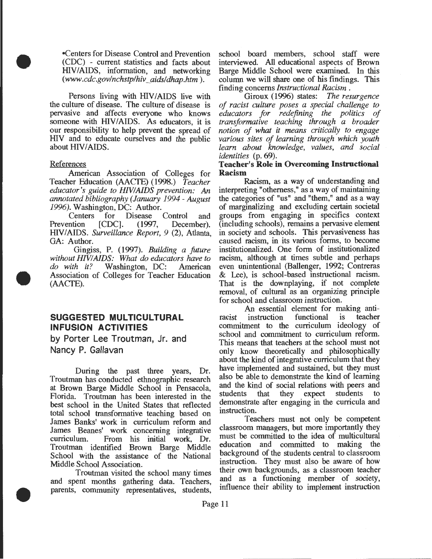•Centers for Disease Control and Prevention (CDC) - current statistics and facts about HIV/AIDS, information, and networking *(www.cdc.gov/nchstplhiv \_aidsldhap.htm* ).

Persons living with HIV/AIDS live with the culture of disease. The culture of disease is pervasive and affects everyone who knows someone with HIV/AIDS. As educators, it is our responsibility to help prevent the spread of mv and to educate ourselves and the public about HIV/AIDS.

#### References

•

•

•

American Association of Colleges for Teacher Education (AACTE) (1998.) *Teacher educator's guide to HIVIAIDS prevention:* An *annotated bibliography (January 1994- August* 

*1996*). Washington, DC: Author.<br>Centers for Disease for Disease Control and<br>CDC<sub>1</sub>. (1997, December). Prevention [CDC]. (1997, December). HIV/AIDS. *Surveillance Report*, 9 (2), Atlanta, GA: Author.

Gingiss, P. (1997). *Building a future without HIVIAIDS: What do educators have to do with it?* Washington, DC: American Association of Colleges for Teacher Education (AACTE).

# **SUGGESTED MULTICULTURAL INFUSION ACTIVITIES**

**by Porter Lee Troutman, Jr. and Nancy P. Gallavan** 

During the past three years, Dr. Troutman has conducted ethnographic research at Brown Barge Middle School in Pensacola, Florida. Troutman has been interested in the best school in the United States that reflected total school transformative teaching based on James Banks' work in curriculum reform and James Beanes' work concerning integrative curriculum. From his initial work, Dr. Troutman identified Brown Barge Middle School with the assistance of the National Middle School Association.

Troutman visited the school many times and spent months gathering data. Teachers, parents, community representatives, students,

school board members, school staff were interviewed. All educational aspects of Brown Barge Middle School were examined. In this column we will share one of his findings. This finding concerns *Instructional Racism*.

finding concerns *Instructional Racism* . Giroux (1996) states: *The resurgence of racist culture poses a special challenge to educators for redefining the politics of transformative teaching through a broader notion of what it means critically to engage various sites of learning through which youth learn about knowledge, values, and social identities* (p. 69).

#### **Teacher's Role in Overcoming Instructional Racism**

Racism, as a way of understanding and interpreting "otherness," as a way of maintaining the categories of "us" and "them," and as a way of marginalizing and excluding certain societal groups from engaging in specifics context (including schools), remains a pervasive element in society and schools. This pervasiveness has caused racism, in its various forms, to become institutionalized. One form of institutionalized racism, although at times subtle and perhaps even unintentional (Ballenger, 1992; Contreras & Lee), is school-based instructional racism. That is the downplaying, if not complete removal, of cultural as an organizing principle for school and classroom instruction.

An essential element for making anti-<br>instruction functional is teacher racist instruction functional is commitment to the curriculum ideology of school and commitment to curriculum reform. This means that teachers at the school must not only know theoretically and philosophically about the kind of integrative curriculum that they have implemented and sustained, but they must also be able to demonstrate the kind of learning and the kind of social relations with peers and students that they expect students to demonstrate after engaging in the curricula and instruction.

Teachers must not only be competent classroom managers, but more importantly they must be committed to the idea of multicultural education and committed to making the background of the students central to classroom instruction. They must also be aware of how their own backgrounds, as a classroom teacher and as a functioning member of society, influence their ability to implement instruction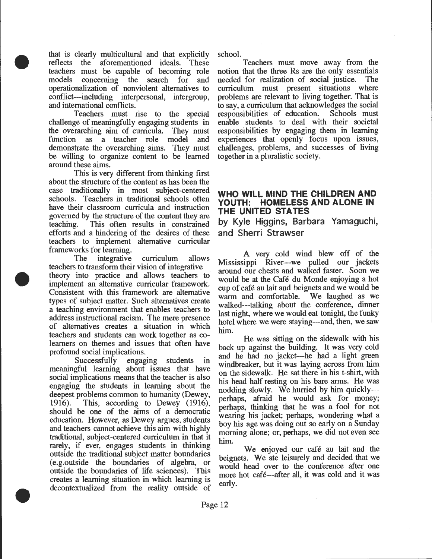that is clearly multicultural and that explicitly reflects the aforementioned ideals. These teachers must be capable of becoming role models concerning the search for and operationalization of nonviolent alternatives to conflict---including interpersonal, intergroup, and international conflicts.

•

•

•

Teachers must rise to the special challenge of meaningfully engaging students in the overarching aim of curricula They must function as a teacher role model and demonstrate the overarching aims. They must be willing to organize content to be learned around these aims.

This is very different from thinking first about the structure of the content as has been the case traditionally in most subject-centered schools. Teachers in traditional schools often have their classroom curricula and instruction governed by the structure of the content they are teaching. This often results in constrained efforts and a hindering of the desires of these teachers to implement alternative curricular frameworks for learning.

The integrative curriculum allows teachers to transform their vision of integrative theory into practice and allows teachers to implement an alternative curricular framework. Consistent with this framework are alternative types of subject matter. Such alternatives create a teaching environment that enables teachers to address instructional racism. The mere presence of alternatives creates a situation in which teachers and students can work together as colearners on themes and issues that often have profound social implications.

Successfully engaging students in meaningful learning about issues that have social implications means that the teacher is also engaging the students in learning about the deepest problems common to humanity (Dewey, 1916). This, according to Dewey (1916), should be one of the aims of a democratic education. However, as Dewey argues, students and teachers cannot achieve this aim with highly traditional, subject-centered curriculum in that it rarely, if ever, engages students in thinking outside the traditional subject matter boundaries (e.g.outside the boundaries of algebra, or outside the boundaries of life sciences). This creates a learning situation in which learning is decontextualized from the reality outside of

school.

Teachers must move away from the notion that the three Rs are the only essentials needed for realization of social justice. The curriculum must present situations where problems are relevant to living together. That is to say, a curriculum that acknowledges the social responsibilities of education. Schools must enable students to deal with their societal responsibilities by engaging them in learning experiences that openly focus upon issues, challenges, problems, and successes of living together in a pluralistic society.

## **WHO WILL MIND THE CHILDREN AND YOUTH: HOMELESS AND ALONE IN THE UNITED STATES**

**by Kyle Higgins, Barbara Yamaguchi, and Sherri Strawser** 

A very cold wind blew off of the Mississippi River---we pulled our jackets around our chests and walked faster. Soon we would be at the Cafe du Monde enjoying a hot cup of cafe au lait and beignets and we would be warm and comfortable. We laughed as we walked---talking about the conference, dinner last night, where we would eat tonight, the funky hotel where we were staying---and, then, we saw him.

He was sitting on the sidewalk with his back up against the building. It was very cold and he had no jacket---he had a light green windbreaker, but it was laying across from him on the sidewalk. He sat there in his t-shirt, with his head half resting on his bare arms. He was nodding slowly. We hurried by him quickly-- perhaps, afraid he would ask for money; perhaps, thinking that he was a fool for not wearing his jacket; perhaps, wondering what a boy his age was doing out so early on a Sunday morning alone; or, perhaps, we did not even see him.

We enjoyed our café au lait and the beignets. We ate leisurely and decided that we would head over to the conference after one more hot cafe---after all, it was cold and it was early.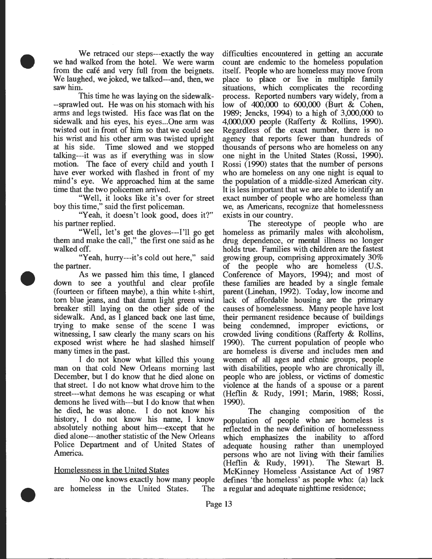We retraced our steps---exactly the way we had walked from the hotel. We were warm from the cafe and very full from the beignets. We laughed, we joked, we talked---and, then, we saw him.

•

•

•

This time he was laying on the sidewalk- --sprawled out. He was on his stomach with his arms and legs twisted. His face was flat on the sidewalk and his eyes, his eyes... One arm was twisted out in front of him so that we could see his wrist and his other arm was twisted upright at his side. Time slowed and we stopped talking---it was as if everything was in slow motion. The face of every child and youth I have ever worked with flashed in front of my mind's eye. We approached him at the same time that the two policemen arrived.

"Well, it looks like it's over for street boy this time," said the first policeman.

"Yeah, it doesn't look good, does it?" his partner replied.

"Well, let's get the gloves---I'll go get them and make the call," the first one said as he walked off.

"Yeah, hurry---it's cold out here," said the partner.

As we passed him this time, I glanced down to see a youthful and clear profile (fourteen or fifteen maybe), a thin white t-shirt, tom blue jeans, and that damn light green wind breaker still laying on the other side of the sidewalk. And, as I glanced back one last time, trying to make sense of the scene I was witnessing, I saw clearly the many scars on his exposed wrist where he had slashed himself many times in the past.

I do not know what killed this young man on that cold New Orleans morning last December, but I do know that he died alone on that street. I do not know what drove him to the street---what demons he was escaping or what demons he lived with---but I do know that when he died, he was alone. I do not know his history, I do not know his name, I know absolutely nothing about him---except that he died alone---another statistic of the New Orleans Police Department and of United States of America.

#### Homelessness in the United States

No one knows exactly how many people are homeless in the United States. The difficulties encountered in getting an accurate count are endemic to the homeless population itself. People who are homeless may move from place to place or live in multiple family situations, which complicates the recording process. Reported numbers vary widely, from a low of 400,000 to 600,000 (Burt & Cohen, 1989; Jencks, 1994) to a high of 3,000,000 to 4,000,000 people (Rafferty & Rollins, 1990). Regardless of the exact number, there is no agency that reports fewer than hundreds of thousands of persons who are homeless on any one night in the United States (Rossi, 1990). Rossi ( 1990) states that the number of persons who are homeless on any one night is equal to the population of a middle-sized American city. It is less important that we are able to identify an exact number of people who are homeless than we, as Americans, recognize that homelessness exists in our country.

The stereotype of people who are homeless as primarily males with alcoholism, drug dependence, or mental illness no longer holds true. Families with children are the fastest growing group, comprising approximately 30% of the people who are homeless (U.S. Conference of Mayors, 1994); and most of these families are headed by a single female parent (Linehan, 1992). Today, low income and lack of affordable housing are the primary causes of homelessness. Many people have lost their permanent residence because of buildings being condemned, improper evictions, or crowded living conditions (Rafferty & Rollins, 1990). The current population of people who are homeless is diverse and includes men and women of all ages and ethnic groups, people with disabilities, people who are chronically ill, people who are jobless, or victims of domestic violence at the hands of a spouse or a parent (Heflin & Rudy, 1991; Marin, 1988; Rossi, 1990).

The changing composition of the population of people who are homeless is reflected in the new definition of homelessness which emphasizes the inability to afford adequate housing rather than unemployed persons who are not living with their families<br>(Heflin & Rudy, 1991). The Stewart B.  $(Heflin \& Rudy, 1991).$ McKinney Homeless Assistance Act of 1987 defines 'the homeless' as people who: (a) lack a regular and adequate nighttime residence;